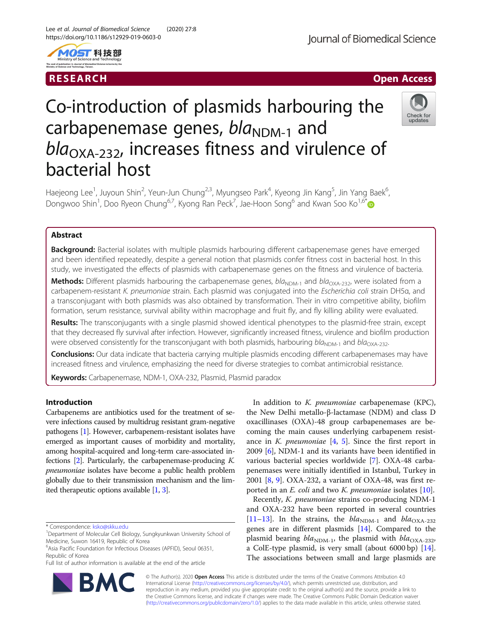



# Co-introduction of plasmids harbouring the carbapenemase genes,  $bla_{NDM-1}$  and  $bla<sub>OXA-232</sub>$ , increases fitness and virulence of bacterial host



Haejeong Lee<sup>1</sup>, Juyoun Shin<sup>2</sup>, Yeun-Jun Chung<sup>2,3</sup>, Myungseo Park<sup>4</sup>, Kyeong Jin Kang<sup>5</sup>, Jin Yang Baek<sup>6</sup> , Dongwoo Shin<sup>1</sup>, Doo Ryeon Chung<sup>6,7</sup>, Kyong Ran Peck<sup>7</sup>, Jae-Hoon Song<sup>6</sup> and Kwan Soo Ko<sup>1,6[\\*](http://orcid.org/0000-0002-0978-1937)</sup>

## Abstract

**Background:** Bacterial isolates with multiple plasmids harbouring different carbapenemase genes have emerged and been identified repeatedly, despite a general notion that plasmids confer fitness cost in bacterial host. In this study, we investigated the effects of plasmids with carbapenemase genes on the fitness and virulence of bacteria.

Methods: Different plasmids harbouring the carbapenemase genes, bla<sub>NDM-1</sub> and bla<sub>OXA-232</sub>, were isolated from a carbapenem-resistant K. pneumoniae strain. Each plasmid was conjugated into the Escherichia coli strain DH5α, and a transconjugant with both plasmids was also obtained by transformation. Their in vitro competitive ability, biofilm formation, serum resistance, survival ability within macrophage and fruit fly, and fly killing ability were evaluated.

Results: The transconjugants with a single plasmid showed identical phenotypes to the plasmid-free strain, except that they decreased fly survival after infection. However, significantly increased fitness, virulence and biofilm production were observed consistently for the transconjugant with both plasmids, harbouring  $bla_{NN-1}$  and  $bla_{OXA-232}$ .

Conclusions: Our data indicate that bacteria carrying multiple plasmids encoding different carbapenemases may have increased fitness and virulence, emphasizing the need for diverse strategies to combat antimicrobial resistance.

Keywords: Carbapenemase, NDM-1, OXA-232, Plasmid, Plasmid paradox

## Introduction

Carbapenems are antibiotics used for the treatment of severe infections caused by multidrug resistant gram-negative pathogens [\[1](#page-6-0)]. However, carbapenem-resistant isolates have emerged as important causes of morbidity and mortality, among hospital-acquired and long-term care-associated infections  $[2]$ . Particularly, the carbapenemase-producing K. pneumoniae isolates have become a public health problem globally due to their transmission mechanism and the limited therapeutic options available [\[1,](#page-6-0) [3](#page-6-0)].

Full list of author information is available at the end of the article



In addition to K. *pneumoniae* carbapenemase (KPC), the New Delhi metallo-β-lactamase (NDM) and class D oxacillinases (OXA)-48 group carbapenemases are becoming the main causes underlying carbapenem resistance in K. *pneumoniae*  $[4, 5]$  $[4, 5]$  $[4, 5]$  $[4, 5]$  $[4, 5]$ . Since the first report in 2009 [[6\]](#page-7-0), NDM-1 and its variants have been identified in various bacterial species worldwide [[7\]](#page-7-0). OXA-48 carbapenemases were initially identified in Istanbul, Turkey in 2001 [[8,](#page-7-0) [9\]](#page-7-0). OXA-232, a variant of OXA-48, was first reported in an *E. coli* and two *K. pneumoniae* isolates [\[10\]](#page-7-0).

Recently, K. pneumoniae strains co-producing NDM-1 and OXA-232 have been reported in several countries [[11](#page-7-0)–[13](#page-7-0)]. In the strains, the  $bla_{\text{NDM-1}}$  and  $bla_{\text{OXA-232}}$ genes are in different plasmids [\[14\]](#page-7-0). Compared to the plasmid bearing  $bla_{\text{NDM-1}}$ , the plasmid with  $bla_{\text{OXA-232}}$ , a ColE-type plasmid, is very small (about 6000 bp) [\[14](#page-7-0)]. The associations between small and large plasmids are

© The Author(s). 2020 **Open Access** This article is distributed under the terms of the Creative Commons Attribution 4.0 International License [\(http://creativecommons.org/licenses/by/4.0/](http://creativecommons.org/licenses/by/4.0/)), which permits unrestricted use, distribution, and reproduction in any medium, provided you give appropriate credit to the original author(s) and the source, provide a link to the Creative Commons license, and indicate if changes were made. The Creative Commons Public Domain Dedication waiver [\(http://creativecommons.org/publicdomain/zero/1.0/](http://creativecommons.org/publicdomain/zero/1.0/)) applies to the data made available in this article, unless otherwise stated.

<sup>\*</sup> Correspondence: [ksko@skku.edu](mailto:ksko@skku.edu) <sup>1</sup>

Department of Molecular Cell Biology, Sungkyunkwan University School of Medicine, Suwon 16419, Republic of Korea

<sup>6</sup> Asia Pacific Foundation for Infectious Diseases (APFID), Seoul 06351, Republic of Korea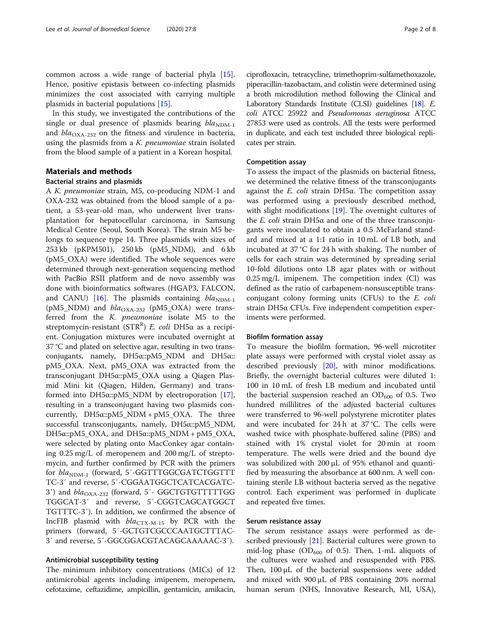common across a wide range of bacterial phyla [\[15](#page-7-0)]. Hence, positive epistasis between co-infecting plasmids minimizes the cost associated with carrying multiple plasmids in bacterial populations [[15\]](#page-7-0).

In this study, we investigated the contributions of the single or dual presence of plasmids bearing  $bla_{NDM-1}$ and  $bla_{\text{OXA-232}}$  on the fitness and virulence in bacteria, using the plasmids from a K. pneumoniae strain isolated from the blood sample of a patient in a Korean hospital.

## Materials and methods

## Bacterial strains and plasmids

A K. pneumoniae strain, M5, co-producing NDM-1 and OXA-232 was obtained from the blood sample of a patient, a 53-year-old man, who underwent liver transplantation for hepatocellular carcinoma, in Samsung Medical Centre (Seoul, South Korea). The strain M5 belongs to sequence type 14. Three plasmids with sizes of 253 kb (pKPM501), 250 kb (pM5\_NDM), and 6 kb (pM5\_OXA) were identified. The whole sequences were determined through next-generation sequencing method with PacBio RSII platform and de novo assembly was done with bioinformatics softwares (HGAP3, FALCON, and CANU) [[16](#page-7-0)]. The plasmids containing  $bla_{NDM-1}$ (pM5\_NDM) and  $bla_{\text{OXA-232}}$  (pM5\_OXA) were transferred from the K. pneumoniae isolate M5 to the streptomycin-resistant (STR<sup>R</sup>) *E. coli* DH5α as a recipient. Conjugation mixtures were incubated overnight at 37 °C and plated on selective agar, resulting in two transconjugants, namely, DH5α::pM5\_NDM and DH5α:: pM5\_OXA. Next, pM5\_OXA was extracted from the transconjugant DH5α::pM5\_OXA using a Qiagen Plasmid Mini kit (Qiagen, Hilden, Germany) and transformed into DH5α::pM5\_NDM by electroporation [\[17](#page-7-0)], resulting in a transconjugant having two plasmids concurrently, DH5α::pM5\_NDM + pM5\_OXA. The three successful transconjugants, namely, DH5α::pM5\_NDM, DH5α::pM5\_OXA, and DH5α::pM5\_NDM + pM5\_OXA, were selected by plating onto MacConkey agar containing 0.25 mg/L of meropenem and 200 mg/L of streptomycin, and further confirmed by PCR with the primers for  $bla_{NDM-1}$  (forward, 5'-GGTTTGGCGATCTGGTTT TC-3′ and reverse, 5′-CGGAATGGCTCATCACGATC-3<sup>'</sup>) and  $bla_{\text{OXA-232}}$  (forward, 5'- GGCTGTGTTTTTGG TGGCAT-3′ and reverse, 5′-CGGTCAGCATGGCT TGTTTC-3′). In addition, we confirmed the absence of IncFIB plasmid with  $bla_{\text{CTX-M-15}}$  by PCR with the primers (forward, 5′-GCTGTCGCCCAATGCTTTAC-3′ and reverse, 5′-GGCGGACGTACAGCAAAAAC-3′).

## Antimicrobial susceptibility testing

The minimum inhibitory concentrations (MICs) of 12 antimicrobial agents including imipenem, meropenem, cefotaxime, ceftazidime, ampicillin, gentamicin, amikacin,

ciprofloxacin, tetracycline, trimethoprim-sulfamethoxazole, piperacillin-tazobactam, and colistin were determined using a broth microdilution method following the Clinical and Laboratory Standards Institute (CLSI) guidelines [[18](#page-7-0)]. E. coli ATCC 25922 and Pseudomonas aeruginosa ATCC 27853 were used as controls. All the tests were performed in duplicate, and each test included three biological replicates per strain.

## Competition assay

To assess the impact of the plasmids on bacterial fitness, we determined the relative fitness of the transconjugants against the *E. coli* strain DH5 $\alpha$ . The competition assay was performed using a previously described method, with slight modifications [[19\]](#page-7-0). The overnight cultures of the *E. coli* strain DH5 $α$  and one of the three transconjugants were inoculated to obtain a 0.5 McFarland standard and mixed at a 1:1 ratio in 10 mL of LB both, and incubated at 37 °C for 24 h with shaking. The number of cells for each strain was determined by spreading serial 10-fold dilutions onto LB agar plates with or without 0.25 mg/L imipenem. The competition index (CI) was defined as the ratio of carbapenem-nonsusceptible transconjugant colony forming units (CFUs) to the E. coli strain DH5α CFUs. Five independent competition experiments were performed.

## Biofilm formation assay

To measure the biofilm formation, 96-well microtiter plate assays were performed with crystal violet assay as described previously [\[20\]](#page-7-0), with minor modifications. Briefly, the overnight bacterial cultures were diluted 1: 100 in 10 mL of fresh LB medium and incubated until the bacterial suspension reached an  $OD_{600}$  of 0.5. Two hundred millilitres of the adjusted bacterial cultures were transferred to 96-well polystyrene microtiter plates and were incubated for 24 h at 37 °C. The cells were washed twice with phosphate-buffered saline (PBS) and stained with 1% crystal violet for 20 min at room temperature. The wells were dried and the bound dye was solubilized with 200 μL of 95% ethanol and quantified by measuring the absorbance at 600 nm. A well containing sterile LB without bacteria served as the negative control. Each experiment was performed in duplicate and repeated five times.

## Serum resistance assay

The serum resistance assays were performed as de-scribed previously [\[21](#page-7-0)]. Bacterial cultures were grown to mid-log phase ( $OD_{600}$  of 0.5). Then, 1-mL aliquots of the cultures were washed and resuspended with PBS. Then, 100 μL of the bacterial suspensions were added and mixed with 900 μL of PBS containing 20% normal human serum (NHS, Innovative Research, MI, USA),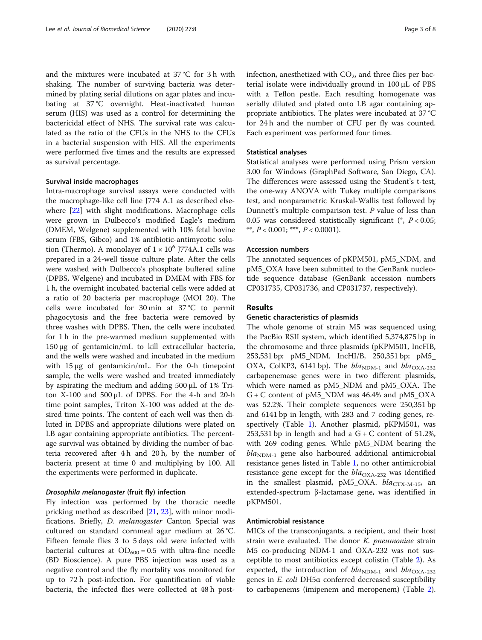and the mixtures were incubated at 37 °C for 3 h with shaking. The number of surviving bacteria was determined by plating serial dilutions on agar plates and incubating at 37 °C overnight. Heat-inactivated human serum (HIS) was used as a control for determining the bactericidal effect of NHS. The survival rate was calculated as the ratio of the CFUs in the NHS to the CFUs in a bacterial suspension with HIS. All the experiments were performed five times and the results are expressed as survival percentage.

## Survival inside macrophages

Intra-macrophage survival assays were conducted with the macrophage-like cell line J774 A.1 as described elsewhere [\[22\]](#page-7-0) with slight modifications. Macrophage cells were grown in Dulbecco's modified Eagle's medium (DMEM, Welgene) supplemented with 10% fetal bovine serum (FBS, Gibco) and 1% antibiotic-antimycotic solution (Thermo). A monolayer of  $1 \times 10^6$  J774A.1 cells was prepared in a 24-well tissue culture plate. After the cells were washed with Dulbecco's phosphate buffered saline (DPBS, Welgene) and incubated in DMEM with FBS for 1 h, the overnight incubated bacterial cells were added at a ratio of 20 bacteria per macrophage (MOI 20). The cells were incubated for 30 min at 37 °C to permit phagocytosis and the free bacteria were removed by three washes with DPBS. Then, the cells were incubated for 1 h in the pre-warmed medium supplemented with 150 μg of gentamicin/mL to kill extracellular bacteria, and the wells were washed and incubated in the medium with 15 μg of gentamicin/mL. For the 0-h timepoint sample, the wells were washed and treated immediately by aspirating the medium and adding 500 μL of 1% Triton X-100 and 500 μL of DPBS. For the 4-h and 20-h time point samples, Triton X-100 was added at the desired time points. The content of each well was then diluted in DPBS and appropriate dilutions were plated on LB agar containing appropriate antibiotics. The percentage survival was obtained by dividing the number of bacteria recovered after 4 h and 20 h, by the number of bacteria present at time 0 and multiplying by 100. All the experiments were performed in duplicate.

## Drosophila melanogaster (fruit fly) infection

Fly infection was performed by the thoracic needle pricking method as described [[21,](#page-7-0) [23\]](#page-7-0), with minor modifications. Briefly, D. melanogaster Canton Special was cultured on standard cornmeal agar medium at 26 °C. Fifteen female flies 3 to 5 days old were infected with bacterial cultures at  $OD_{600} = 0.5$  with ultra-fine needle (BD Bioscience). A pure PBS injection was used as a negative control and the fly mortality was monitored for up to 72 h post-infection. For quantification of viable bacteria, the infected flies were collected at 48 h postinfection, anesthetized with  $CO<sub>2</sub>$ , and three flies per bacterial isolate were individually ground in 100 μL of PBS with a Teflon pestle. Each resulting homogenate was serially diluted and plated onto LB agar containing appropriate antibiotics. The plates were incubated at 37 °C for 24 h and the number of CFU per fly was counted. Each experiment was performed four times.

## Statistical analyses

Statistical analyses were performed using Prism version 3.00 for Windows (GraphPad Software, San Diego, CA). The differences were assessed using the Student's t-test, the one-way ANOVA with Tukey multiple comparisons test, and nonparametric Kruskal-Wallis test followed by Dunnett's multiple comparison test. P value of less than 0.05 was considered statistically significant ( $P < 0.05$ ; \*\*,  $P < 0.001$ ; \*\*\*,  $P < 0.0001$ ).

## Accession numbers

The annotated sequences of pKPM501, pM5\_NDM, and pM5\_OXA have been submitted to the GenBank nucleotide sequence database (GenBank accession numbers CP031735, CP031736, and CP031737, respectively).

## Results

## Genetic characteristics of plasmids

The whole genome of strain M5 was sequenced using the PacBio RSII system, which identified 5,374,875 bp in the chromosome and three plasmids (pKPM501, IncFIB, 253,531 bp; pM5\_NDM, IncHI/B, 250,351 bp; pM5\_ OXA, ColKP3, 6141 bp). The  $bla_{\text{NDM-1}}$  and  $bla_{\text{OXA-232}}$ carbapenemase genes were in two different plasmids, which were named as pM5\_NDM and pM5\_OXA. The G + C content of pM5\_NDM was 46.4% and pM5\_OXA was 52.2%. Their complete sequences were 250,351 bp and 6141 bp in length, with 283 and 7 coding genes, respectively (Table [1\)](#page-3-0). Another plasmid, pKPM501, was 253,531 bp in length and had a  $G + C$  content of 51.2%, with 269 coding genes. While pM5\_NDM bearing the  $bla<sub>NDM-1</sub>$  gene also harboured additional antimicrobial resistance genes listed in Table [1,](#page-3-0) no other antimicrobial resistance gene except for the  $bla_{\text{OXA-232}}$  was identified in the smallest plasmid,  $pM5_OXA$ .  $bla_{CTX-M-15}$ , an extended-spectrum β-lactamase gene, was identified in pKPM501.

## Antimicrobial resistance

MICs of the transconjugants, a recipient, and their host strain were evaluated. The donor *K. pneumoniae* strain M5 co-producing NDM-1 and OXA-232 was not susceptible to most antibiotics except colistin (Table [2\)](#page-3-0). As expected, the introduction of  $bla_{\text{NDM-1}}$  and  $bla_{\text{OXA-232}}$ genes in E. coli DH5α conferred decreased susceptibility to carbapenems (imipenem and meropenem) (Table [2](#page-3-0)).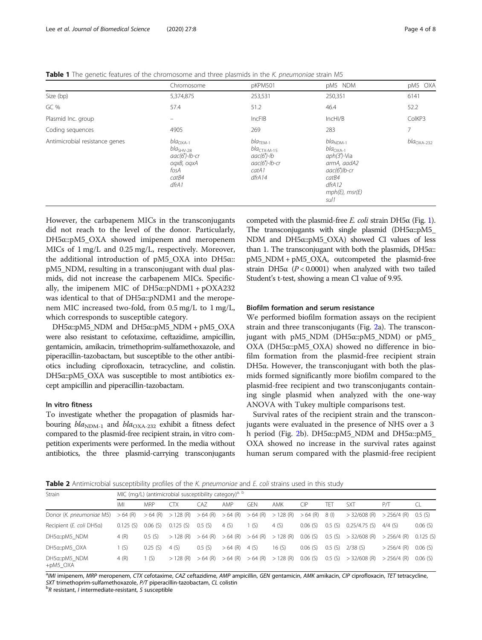<span id="page-3-0"></span>Table 1 The genetic features of the chromosome and three plasmids in the K. pneumoniae strain M5

|                                | Chromosome                                                                                                 | pKPM501                                                                                                               | pM5 NDM                                                                                                                                | pM5 OXA                    |  |
|--------------------------------|------------------------------------------------------------------------------------------------------------|-----------------------------------------------------------------------------------------------------------------------|----------------------------------------------------------------------------------------------------------------------------------------|----------------------------|--|
| Size (bp)                      | 5,374,875                                                                                                  | 253,531                                                                                                               | 250,351                                                                                                                                | 6141                       |  |
| GC %                           | 57.4                                                                                                       | 51.2                                                                                                                  | 46.4                                                                                                                                   | 52.2                       |  |
| Plasmid Inc. group             | $\equiv$                                                                                                   | IncFIB                                                                                                                | IncHI/B                                                                                                                                | ColKP3                     |  |
| Coding sequences               | 4905                                                                                                       | 269                                                                                                                   | 283                                                                                                                                    | 7                          |  |
| Antimicrobial resistance genes | $bla_{\rm OXA-1}$<br>$bla_{\rm SHV\text{-}28}$<br>$aac(6')$ -lb-cr<br>ogxB, ogxA<br>fosA<br>catB4<br>dfrA1 | $bla$ <sub>TFM-1</sub><br>bla $_{\rm CTX\text{-}M\text{-}15}$<br>$aac(6')$ -lb<br>$aac(6')$ -lb-cr<br>catA1<br>dfrA14 | $blaNDM-1$<br>$bla_{\text{OXA-1}}$<br>$aph(3')$ -Via<br>armA, aadA2<br>aac(6')lb-cr<br>catB4<br>dfrA12<br>$mph(E)$ , $msr(E)$<br>sul 1 | $bla_{\rm OXA\text{-}232}$ |  |

However, the carbapenem MICs in the transconjugants did not reach to the level of the donor. Particularly, DH5α::pM5\_OXA showed imipenem and meropenem MICs of 1 mg/L and 0.25 mg/L, respectively. Moreover, the additional introduction of pM5\_OXA into DH5α:: pM5\_NDM, resulting in a transconjugant with dual plasmids, did not increase the carbapenem MICs. Specifically, the imipenem MIC of  $DH5\alpha::pNDM1 + pOXA232$ was identical to that of DH5α::pNDM1 and the meropenem MIC increased two-fold, from 0.5 mg/L to 1 mg/L, which corresponds to susceptible category.

DH5α::pM5\_NDM and DH5α::pM5\_NDM + pM5\_OXA were also resistant to cefotaxime, ceftazidime, ampicillin, gentamicin, amikacin, trimethoprim-sulfamethoxazole, and piperacillin-tazobactam, but susceptible to the other antibiotics including ciprofloxacin, tetracycline, and colistin. DH5α::pM5\_OXA was susceptible to most antibiotics except ampicillin and piperacillin-tazobactam.

## In vitro fitness

To investigate whether the propagation of plasmids harbouring  $bla_{\text{NDM-1}}$  and  $bla_{\text{OXA-232}}$  exhibit a fitness defect compared to the plasmid-free recipient strain, in vitro competition experiments were performed. In the media without antibiotics, the three plasmid-carrying transconjugants

competed with the plasmid-free  $E$ . coli strain DH5α (Fig. [1](#page-4-0)). The transconjugants with single plasmid (DH5α::pM5\_ NDM and DH5α::pM5\_OXA) showed CI values of less than 1. The transconjugant with both the plasmids, DH5α:: pM5\_NDM + pM5\_OXA, outcompeted the plasmid-free strain DH5 $\alpha$  (P < 0.0001) when analyzed with two tailed Student's t-test, showing a mean CI value of 9.95.

## Biofilm formation and serum resistance

We performed biofilm formation assays on the recipient strain and three transconjugants (Fig. [2](#page-4-0)a). The transconjugant with pM5 NDM (DH5 $\alpha$ ::pM5 NDM) or pM5 OXA (DH5α::pM5\_OXA) showed no difference in biofilm formation from the plasmid-free recipient strain DH5α. However, the transconjugant with both the plasmids formed significantly more biofilm compared to the plasmid-free recipient and two transconjugants containing single plasmid when analyzed with the one-way ANOVA with Tukey multiple comparisons test.

Survival rates of the recipient strain and the transconjugants were evaluated in the presence of NHS over a 3 h period (Fig. [2b](#page-4-0)). DH5α::pM5\_NDM and DH5α::pM5\_ OXA showed no increase in the survival rates against human serum compared with the plasmid-free recipient

**Table 2** Antimicrobial susceptibility profiles of the K. pneumoniae and E. coli strains used in this study

| <b>Strain</b>                | MIC (mg/L) (antimicrobial susceptibility category) <sup>a, b</sup> |            |                                |           |           |           |                                |           |        |                 |               |          |
|------------------------------|--------------------------------------------------------------------|------------|--------------------------------|-----------|-----------|-----------|--------------------------------|-----------|--------|-----------------|---------------|----------|
|                              | IMI                                                                | <b>MRP</b> | CTX                            | CA7       | AMP       | gen       | AMK                            | $\bigcap$ | TFT    | <b>SXT</b>      | PЛ            |          |
| Donor (K. pneumoniae M5)     | $>64$ (R)                                                          |            | $>64$ (R) $>128$ (R) $>64$ (R) |           |           |           | $>64$ (R) $>64$ (R) $>128$ (R) | $>64$ (R) | 8 (l)  | $>$ 32/608 (R)  | $> 256/4$ (R) | 0.5(S)   |
| Recipient (E. coli DH5a)     | 0.125(S)                                                           | 0.06(S)    | 0.125(S)                       | 0.5(S)    | 4(S)      | 1(S)      | 4(S)                           | 0.06(S)   | 0.5(S) | $0.25/4.75$ (S) | $4/4$ (S)     | 0.06(S)  |
| DH5a::pM5 NDM                | 4 (R)                                                              | 0.5(S)     | $>128$ (R)                     | $>64$ (R) | $>64$ (R) | $>64$ (R) | $>128$ (R)                     | 0.06(S)   | 0.5(S) | $>32/608$ (R)   | $> 256/4$ (R) | 0.125(S) |
| DH5a::pM5 OXA                | (S)                                                                | $0.25$ (S) | 4(S)                           | 0.5(S)    | $>64$ (R) | 4 (S)     | 16 $(S)$                       | 0.06(S)   | 0.5(S) | $2/38$ (S)      | $> 256/4$ (R) | 0.06(S)  |
| DH5a::pM5 NDM<br>$+$ pM5_OXA | 4(R)                                                               | 1 (S)      | $>128$ (R)                     | $>64$ (R) | $>64$ (R) |           | $>64$ (R) $>128$ (R)           | 0.06(S)   | 0.5(S) | $>$ 32/608 (R)  | $> 256/4$ (R) | 0.06(S)  |

a<br>MVI imipenem, MRP meropenem, CTX cefotaxime, CAZ ceftazidime, AMP ampicillin, GEN gentamicin, AMK amikacin, CIP ciprofloxacin, TET tetracycline, SXT trimethoprim-sulfamethoxazole, P/T piperacillin-tazobactam, CL colistin

 ${}^{b}R$  resistant, *l* intermediate-resistant, *S* susceptible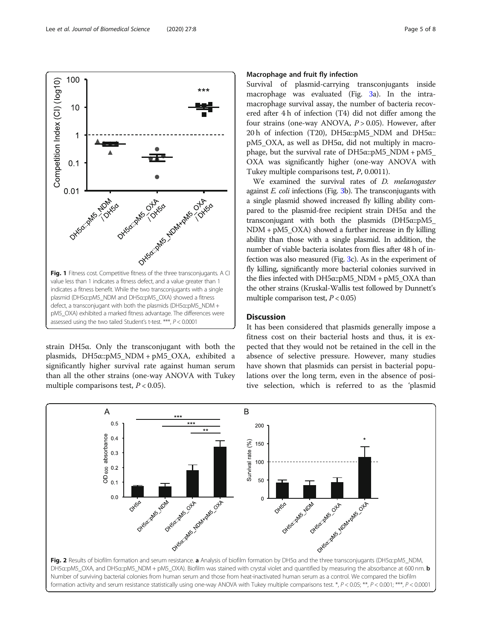strain DH5α. Only the transconjugant with both the plasmids, DH5α::pM5\_NDM + pM5\_OXA, exhibited a significantly higher survival rate against human serum than all the other strains (one-way ANOVA with Tukey multiple comparisons test,  $P < 0.05$ ).

A

OD<sub>600</sub> absorbance

 $0.5$ 

 $0.4$ 

 $0.3$ 

 $0.2$ 

 $0.1$ 

 $0<sub>0</sub>$ 

Oxxiso

## Macrophage and fruit fly infection

Survival of plasmid-carrying transconjugants inside macrophage was evaluated (Fig. [3a](#page-5-0)). In the intramacrophage survival assay, the number of bacteria recovered after 4 h of infection (T4) did not differ among the four strains (one-way ANOVA,  $P > 0.05$ ). However, after 20 h of infection (T20), DH5α::pM5\_NDM and DH5α::  $pM5$  OXA, as well as DH5α, did not multiply in macrophage, but the survival rate of DH5 $\alpha$ ::pM5\_NDM + pM5\_ OXA was significantly higher (one-way ANOVA with Tukey multiple comparisons test, P, 0.0011).

We examined the survival rates of *D. melanogaster* against E. coli infections (Fig. [3b](#page-5-0)). The transconjugants with a single plasmid showed increased fly killing ability compared to the plasmid-free recipient strain DH5α and the transconjugant with both the plasmids (DH5α::pM5\_ NDM + pM5\_OXA) showed a further increase in fly killing ability than those with a single plasmid. In addition, the number of viable bacteria isolates from flies after 48 h of infection was also measured (Fig. [3c](#page-5-0)). As in the experiment of fly killing, significantly more bacterial colonies survived in the flies infected with DH5α::pM5\_NDM + pM5\_OXA than the other strains (Kruskal-Wallis test followed by Dunnett's multiple comparison test,  $P < 0.05$ )

## **Discussion**

It has been considered that plasmids generally impose a fitness cost on their bacterial hosts and thus, it is expected that they would not be retained in the cell in the absence of selective pressure. However, many studies have shown that plasmids can persist in bacterial populations over the long term, even in the absence of positive selection, which is referred to as the 'plasmid



B

Survival rate (%)

200

150

100

50

 $\Omega$ 

DHISO

<span id="page-4-0"></span>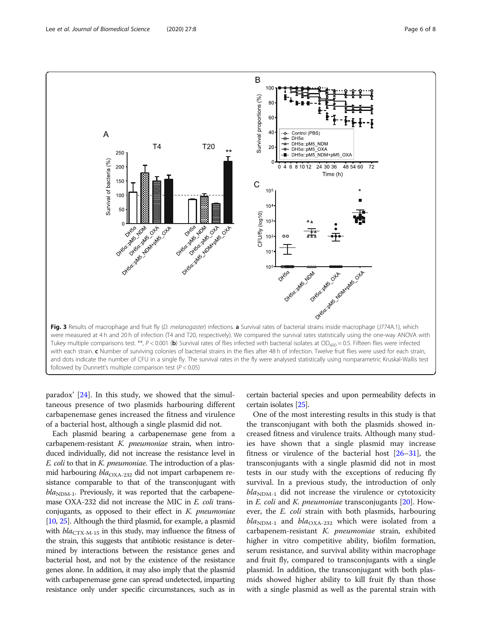<span id="page-5-0"></span>

paradox' [[24\]](#page-7-0). In this study, we showed that the simultaneous presence of two plasmids harbouring different carbapenemase genes increased the fitness and virulence of a bacterial host, although a single plasmid did not.

Each plasmid bearing a carbapenemase gene from a carbapenem-resistant K. pneumoniae strain, when introduced individually, did not increase the resistance level in E. coli to that in K. pneumoniae. The introduction of a plasmid harbouring  $bla_{\text{OXA-232}}$  did not impart carbapenem resistance comparable to that of the transconjugant with  $bla<sub>NDM-1</sub>$ . Previously, it was reported that the carbapenemase OXA-232 did not increase the MIC in E. coli transconjugants, as opposed to their effect in  $K$ . pneumoniae [[10](#page-7-0), [25](#page-7-0)]. Although the third plasmid, for example, a plasmid with  $bla_{\text{CTX-M-15}}$  in this study, may influence the fitness of the strain, this suggests that antibiotic resistance is determined by interactions between the resistance genes and bacterial host, and not by the existence of the resistance genes alone. In addition, it may also imply that the plasmid with carbapenemase gene can spread undetected, imparting resistance only under specific circumstances, such as in

certain bacterial species and upon permeability defects in certain isolates [\[25](#page-7-0)].

One of the most interesting results in this study is that the transconjugant with both the plasmids showed increased fitness and virulence traits. Although many studies have shown that a single plasmid may increase fitness or virulence of the bacterial host [[26](#page-7-0)–[31](#page-7-0)], the transconjugants with a single plasmid did not in most tests in our study with the exceptions of reducing fly survival. In a previous study, the introduction of only  $bla_{\text{NDM-1}}$  did not increase the virulence or cytotoxicity in  $E$ . coli and  $K$ . pneumoniae transconjugants  $[20]$  $[20]$ . However, the E. coli strain with both plasmids, harbouring  $bla_{\text{NDM-1}}$  and  $bla_{\text{OXA-232}}$  which were isolated from a carbapenem-resistant K. pneumoniae strain, exhibited higher in vitro competitive ability, biofilm formation, serum resistance, and survival ability within macrophage and fruit fly, compared to transconjugants with a single plasmid. In addition, the transconjugant with both plasmids showed higher ability to kill fruit fly than those with a single plasmid as well as the parental strain with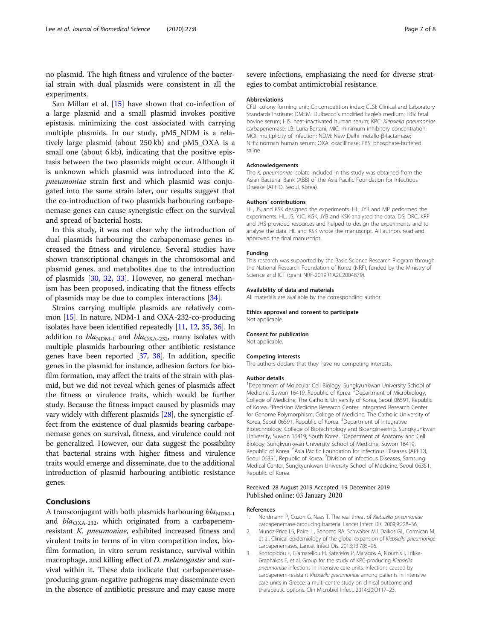<span id="page-6-0"></span>no plasmid. The high fitness and virulence of the bacterial strain with dual plasmids were consistent in all the experiments.

San Millan et al. [[15\]](#page-7-0) have shown that co-infection of a large plasmid and a small plasmid invokes positive epistasis, minimizing the cost associated with carrying multiple plasmids. In our study, pM5\_NDM is a relatively large plasmid (about 250 kb) and pM5\_OXA is a small one (about 6 kb), indicating that the positive epistasis between the two plasmids might occur. Although it is unknown which plasmid was introduced into the K. pneumoniae strain first and which plasmid was conjugated into the same strain later, our results suggest that the co-introduction of two plasmids harbouring carbapenemase genes can cause synergistic effect on the survival and spread of bacterial hosts.

In this study, it was not clear why the introduction of dual plasmids harbouring the carbapenemase genes increased the fitness and virulence. Several studies have shown transcriptional changes in the chromosomal and plasmid genes, and metabolites due to the introduction of plasmids [[30,](#page-7-0) [32,](#page-7-0) [33](#page-7-0)]. However, no general mechanism has been proposed, indicating that the fitness effects of plasmids may be due to complex interactions [\[34](#page-7-0)].

Strains carrying multiple plasmids are relatively common [\[15\]](#page-7-0). In nature, NDM-1 and OXA-232-co-producing isolates have been identified repeatedly [[11](#page-7-0), [12](#page-7-0), [35,](#page-7-0) [36\]](#page-7-0). In addition to  $bla_{\text{NDM-1}}$  and  $bla_{\text{OXA-232}}$ , many isolates with multiple plasmids harbouring other antibiotic resistance genes have been reported [\[37,](#page-7-0) [38](#page-7-0)]. In addition, specific genes in the plasmid for instance, adhesion factors for biofilm formation, may affect the traits of the strain with plasmid, but we did not reveal which genes of plasmids affect the fitness or virulence traits, which would be further study. Because the fitness impact caused by plasmids may vary widely with different plasmids [\[28\]](#page-7-0), the synergistic effect from the existence of dual plasmids bearing carbapenemase genes on survival, fitness, and virulence could not be generalized. However, our data suggest the possibility that bacterial strains with higher fitness and virulence traits would emerge and disseminate, due to the additional introduction of plasmid harbouring antibiotic resistance genes.

## Conclusions

A transconjugant with both plasmids harbouring  $bla_{\text{NDM-1}}$ and  $bla_{\text{OXA-232}}$ , which originated from a carbapenemresistant K. pneumoniae, exhibited increased fitness and virulent traits in terms of in vitro competition index, biofilm formation, in vitro serum resistance, survival within macrophage, and killing effect of *D. melanogaster* and survival within it. These data indicate that carbapenemaseproducing gram-negative pathogens may disseminate even in the absence of antibiotic pressure and may cause more severe infections, emphasizing the need for diverse strategies to combat antimicrobial resistance.

#### Abbreviations

CFU: colony forming unit; CI: competition index; CLSI: Clinical and Laboratory Standards Institute; DMEM: Dulbecco's modified Eagle's medium; FBS: fetal bovine serum; HIS: heat-inactivated human serum; KPC: Klebsiella pneumoniae carbapenemase; LB: Luria-Bertani; MIC: minimum inhibitory concentration; MOI: multiplicity of infection; NDM: New Delhi metallo-β-lactamase; NHS: norman human serum; OXA: oxacillinase; PBS: phosphate-buffered saline

#### Acknowledgements

The K. pneumoniae isolate included in this study was obtained from the Asian Bacterial Bank (ABB) of the Asia Pacific Foundation for Infectious Disease (APFID, Seoul, Korea).

#### Authors' contributions

HL, JS, and KSK designed the experiments. HL, JYB and MP performed the experiments. HL, JS, YJC, KGK, JYB and KSK analysed the data. DS, DRC, KRP and JHS provided resources and helped to design the experiments and to analyse the data. HL and KSK wrote the manuscript. All authors read and approved the final manuscript.

#### Funding

This research was supported by the Basic Science Research Program through the National Research Foundation of Korea (NRF), funded by the Ministry of Science and ICT (grant NRF-2019R1A2C2004879).

#### Availability of data and materials

All materials are available by the corresponding author.

#### Ethics approval and consent to participate Not applicable.

## Consent for publication

Not applicable.

## Competing interests

The authors declare that they have no competing interests.

#### Author details

<sup>1</sup>Department of Molecular Cell Biology, Sungkyunkwan University School of Medicine, Suwon 16419, Republic of Korea. <sup>2</sup> Department of Microbiology, College of Medicine, The Catholic University of Korea, Seoul 06591, Republic of Korea. <sup>3</sup> Precision Medicine Research Center, Integrated Research Center for Genome Polymorphism, College of Medicine, The Catholic University of Korea, Seoul 06591, Republic of Korea. <sup>4</sup>Department of Integrative Biotechnology, College of Biotechnology and Bioengineering, Sungkyunkwan University, Suwon 16419, South Korea. <sup>5</sup> Department of Anatomy and Cell Biology, Sungkyunkwan University School of Medicine, Suwon 16419, Republic of Korea. <sup>6</sup> Asia Pacific Foundation for Infectious Diseases (APFID), Seoul 06351, Republic of Korea. <sup>7</sup>Division of Infectious Diseases, Samsung Medical Center, Sungkyunkwan University School of Medicine, Seoul 06351, Republic of Korea.

#### Received: 28 August 2019 Accepted: 19 December 2019 Published online: 03 January 2020

## References

- 1. Nordmann P, Cuzon G, Naas T. The real threat of Klebsiella pneumoniae carbapenemase-producing bacteria. Lancet Infect Dis. 2009;9:228–36.
- 2. Munoz-Price LS, Poirel L, Bonomo RA, Schwaber MJ, Daikos GL, Cormican M, et al. Clinical epidemiology of the global expansion of Klebsiella pneumoniae carbapenemases. Lancet Infect Dis. 2013;13:785–96.
- 3. Kontopidou F, Giamarellou H, Katerelos P, Maragos A, Kioumis I, Trikka-Graphakos E, et al. Group for the study of KPC-producing Klebsiella pneumoniae infections in intensive care units. Infections caused by carbapenem-resistant Klebsiella pneumoniae among patients in intensive care units in Greece: a multi-centre study on clinical outcome and therapeutic options. Clin Microbiol Infect. 2014;20:O117–23.